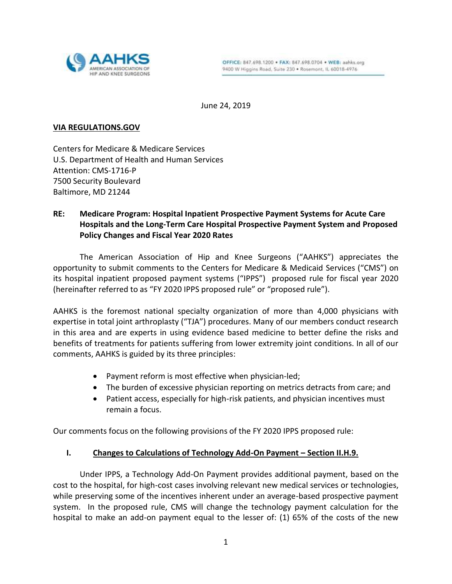

June 24, 2019

#### **VIA REGULATIONS.GOV**

Centers for Medicare & Medicare Services U.S. Department of Health and Human Services Attention: CMS-1716-P 7500 Security Boulevard Baltimore, MD 21244

# **RE: Medicare Program: Hospital Inpatient Prospective Payment Systems for Acute Care Hospitals and the Long-Term Care Hospital Prospective Payment System and Proposed Policy Changes and Fiscal Year 2020 Rates**

The American Association of Hip and Knee Surgeons ("AAHKS") appreciates the opportunity to submit comments to the Centers for Medicare & Medicaid Services ("CMS") on its hospital inpatient proposed payment systems ("IPPS") proposed rule for fiscal year 2020 (hereinafter referred to as "FY 2020 IPPS proposed rule" or "proposed rule").

AAHKS is the foremost national specialty organization of more than 4,000 physicians with expertise in total joint arthroplasty ("TJA") procedures. Many of our members conduct research in this area and are experts in using evidence based medicine to better define the risks and benefits of treatments for patients suffering from lower extremity joint conditions. In all of our comments, AAHKS is guided by its three principles:

- Payment reform is most effective when physician-led;
- The burden of excessive physician reporting on metrics detracts from care; and
- Patient access, especially for high-risk patients, and physician incentives must remain a focus.

Our comments focus on the following provisions of the FY 2020 IPPS proposed rule:

# **I. Changes to Calculations of Technology Add-On Payment – Section II.H.9.**

Under IPPS, a Technology Add-On Payment provides additional payment, based on the cost to the hospital, for high-cost cases involving relevant new medical services or technologies, while preserving some of the incentives inherent under an average-based prospective payment system. In the proposed rule, CMS will change the technology payment calculation for the hospital to make an add-on payment equal to the lesser of: (1) 65% of the costs of the new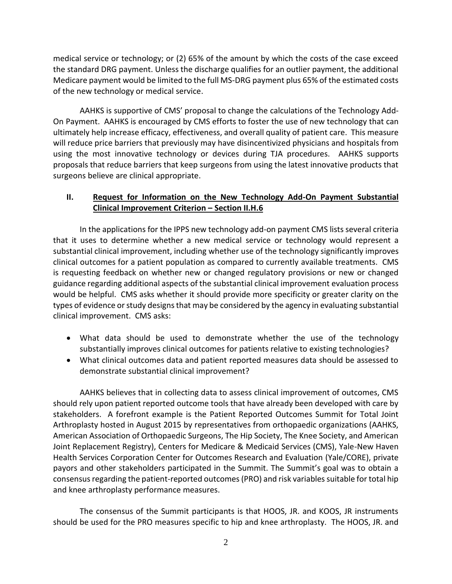medical service or technology; or (2) 65% of the amount by which the costs of the case exceed the standard DRG payment. Unless the discharge qualifies for an outlier payment, the additional Medicare payment would be limited to the full MS-DRG payment plus 65% of the estimated costs of the new technology or medical service.

AAHKS is supportive of CMS' proposal to change the calculations of the Technology Add-On Payment. AAHKS is encouraged by CMS efforts to foster the use of new technology that can ultimately help increase efficacy, effectiveness, and overall quality of patient care. This measure will reduce price barriers that previously may have disincentivized physicians and hospitals from using the most innovative technology or devices during TJA procedures. AAHKS supports proposals that reduce barriers that keep surgeons from using the latest innovative products that surgeons believe are clinical appropriate.

# **II. Request for Information on the New Technology Add-On Payment Substantial Clinical Improvement Criterion – Section II.H.6**

In the applications for the IPPS new technology add-on payment CMS lists several criteria that it uses to determine whether a new medical service or technology would represent a substantial clinical improvement, including whether use of the technology significantly improves clinical outcomes for a patient population as compared to currently available treatments. CMS is requesting feedback on whether new or changed regulatory provisions or new or changed guidance regarding additional aspects of the substantial clinical improvement evaluation process would be helpful. CMS asks whether it should provide more specificity or greater clarity on the types of evidence or study designs that may be considered by the agency in evaluating substantial clinical improvement. CMS asks:

- What data should be used to demonstrate whether the use of the technology substantially improves clinical outcomes for patients relative to existing technologies?
- What clinical outcomes data and patient reported measures data should be assessed to demonstrate substantial clinical improvement?

AAHKS believes that in collecting data to assess clinical improvement of outcomes, CMS should rely upon patient reported outcome tools that have already been developed with care by stakeholders. A forefront example is the Patient Reported Outcomes Summit for Total Joint Arthroplasty hosted in August 2015 by representatives from orthopaedic organizations (AAHKS, American Association of Orthopaedic Surgeons, The Hip Society, The Knee Society, and American Joint Replacement Registry), Centers for Medicare & Medicaid Services (CMS), Yale-New Haven Health Services Corporation Center for Outcomes Research and Evaluation (Yale/CORE), private payors and other stakeholders participated in the Summit. The Summit's goal was to obtain a consensus regarding the patient-reported outcomes (PRO) and risk variables suitable for total hip and knee arthroplasty performance measures.

The consensus of the Summit participants is that HOOS, JR. and KOOS, JR instruments should be used for the PRO measures specific to hip and knee arthroplasty. The HOOS, JR. and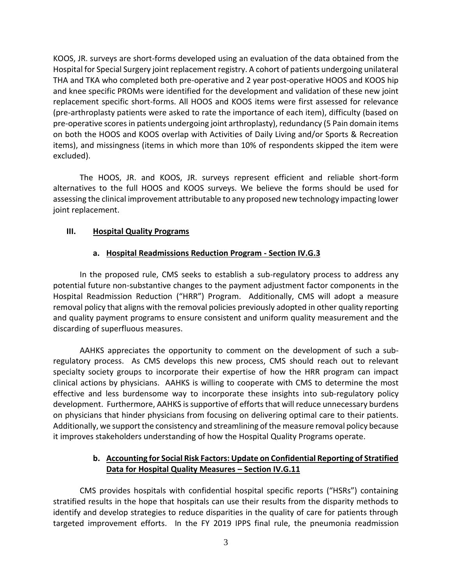KOOS, JR. surveys are short-forms developed using an evaluation of the data obtained from the Hospital for Special Surgery joint replacement registry. A cohort of patients undergoing unilateral THA and TKA who completed both pre-operative and 2 year post-operative HOOS and KOOS hip and knee specific PROMs were identified for the development and validation of these new joint replacement specific short-forms. All HOOS and KOOS items were first assessed for relevance (pre-arthroplasty patients were asked to rate the importance of each item), difficulty (based on pre-operative scores in patients undergoing joint arthroplasty), redundancy (5 Pain domain items on both the HOOS and KOOS overlap with Activities of Daily Living and/or Sports & Recreation items), and missingness (items in which more than 10% of respondents skipped the item were excluded).

The HOOS, JR. and KOOS, JR. surveys represent efficient and reliable short-form alternatives to the full HOOS and KOOS surveys. We believe the forms should be used for assessing the clinical improvement attributable to any proposed new technology impacting lower joint replacement.

#### **III. Hospital Quality Programs**

#### **a. Hospital Readmissions Reduction Program - Section IV.G.3**

In the proposed rule, CMS seeks to establish a sub-regulatory process to address any potential future non-substantive changes to the payment adjustment factor components in the Hospital Readmission Reduction ("HRR") Program. Additionally, CMS will adopt a measure removal policy that aligns with the removal policies previously adopted in other quality reporting and quality payment programs to ensure consistent and uniform quality measurement and the discarding of superfluous measures.

AAHKS appreciates the opportunity to comment on the development of such a subregulatory process. As CMS develops this new process, CMS should reach out to relevant specialty society groups to incorporate their expertise of how the HRR program can impact clinical actions by physicians. AAHKS is willing to cooperate with CMS to determine the most effective and less burdensome way to incorporate these insights into sub-regulatory policy development. Furthermore, AAHKS is supportive of efforts that will reduce unnecessary burdens on physicians that hinder physicians from focusing on delivering optimal care to their patients. Additionally, we support the consistency and streamlining of the measure removal policy because it improves stakeholders understanding of how the Hospital Quality Programs operate.

# **b. Accounting for Social Risk Factors: Update on Confidential Reporting of Stratified Data for Hospital Quality Measures – Section IV.G.11**

CMS provides hospitals with confidential hospital specific reports ("HSRs") containing stratified results in the hope that hospitals can use their results from the disparity methods to identify and develop strategies to reduce disparities in the quality of care for patients through targeted improvement efforts. In the FY 2019 IPPS final rule, the pneumonia readmission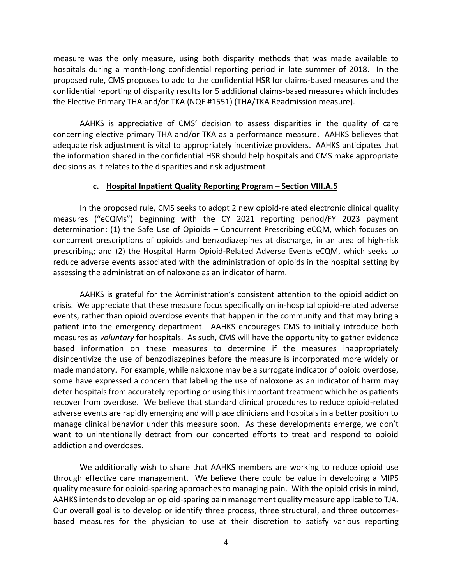measure was the only measure, using both disparity methods that was made available to hospitals during a month-long confidential reporting period in late summer of 2018. In the proposed rule, CMS proposes to add to the confidential HSR for claims-based measures and the confidential reporting of disparity results for 5 additional claims-based measures which includes the Elective Primary THA and/or TKA (NQF #1551) (THA/TKA Readmission measure).

AAHKS is appreciative of CMS' decision to assess disparities in the quality of care concerning elective primary THA and/or TKA as a performance measure. AAHKS believes that adequate risk adjustment is vital to appropriately incentivize providers. AAHKS anticipates that the information shared in the confidential HSR should help hospitals and CMS make appropriate decisions as it relates to the disparities and risk adjustment.

#### **c. Hospital Inpatient Quality Reporting Program – Section VIII.A.5**

In the proposed rule, CMS seeks to adopt 2 new opioid-related electronic clinical quality measures ("eCQMs") beginning with the CY 2021 reporting period/FY 2023 payment determination: (1) the Safe Use of Opioids – Concurrent Prescribing eCQM, which focuses on concurrent prescriptions of opioids and benzodiazepines at discharge, in an area of high-risk prescribing; and (2) the Hospital Harm Opioid-Related Adverse Events eCQM, which seeks to reduce adverse events associated with the administration of opioids in the hospital setting by assessing the administration of naloxone as an indicator of harm.

AAHKS is grateful for the Administration's consistent attention to the opioid addiction crisis. We appreciate that these measure focus specifically on in-hospital opioid-related adverse events, rather than opioid overdose events that happen in the community and that may bring a patient into the emergency department. AAHKS encourages CMS to initially introduce both measures as *voluntary* for hospitals. As such, CMS will have the opportunity to gather evidence based information on these measures to determine if the measures inappropriately disincentivize the use of benzodiazepines before the measure is incorporated more widely or made mandatory. For example, while naloxone may be a surrogate indicator of opioid overdose, some have expressed a concern that labeling the use of naloxone as an indicator of harm may deter hospitals from accurately reporting or using this important treatment which helps patients recover from overdose. We believe that standard clinical procedures to reduce opioid-related adverse events are rapidly emerging and will place clinicians and hospitals in a better position to manage clinical behavior under this measure soon. As these developments emerge, we don't want to unintentionally detract from our concerted efforts to treat and respond to opioid addiction and overdoses.

We additionally wish to share that AAHKS members are working to reduce opioid use through effective care management. We believe there could be value in developing a MIPS quality measure for opioid-sparing approaches to managing pain. With the opioid crisis in mind, AAHKS intends to develop an opioid-sparing pain management quality measure applicable to TJA. Our overall goal is to develop or identify three process, three structural, and three outcomesbased measures for the physician to use at their discretion to satisfy various reporting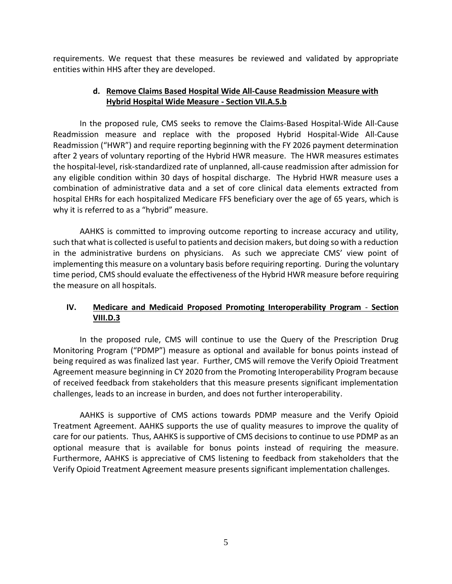requirements. We request that these measures be reviewed and validated by appropriate entities within HHS after they are developed.

### **d. Remove Claims Based Hospital Wide All-Cause Readmission Measure with Hybrid Hospital Wide Measure - Section VII.A.5.b**

In the proposed rule, CMS seeks to remove the Claims-Based Hospital-Wide All-Cause Readmission measure and replace with the proposed Hybrid Hospital-Wide All-Cause Readmission ("HWR") and require reporting beginning with the FY 2026 payment determination after 2 years of voluntary reporting of the Hybrid HWR measure. The HWR measures estimates the hospital-level, risk-standardized rate of unplanned, all-cause readmission after admission for any eligible condition within 30 days of hospital discharge. The Hybrid HWR measure uses a combination of administrative data and a set of core clinical data elements extracted from hospital EHRs for each hospitalized Medicare FFS beneficiary over the age of 65 years, which is why it is referred to as a "hybrid" measure.

AAHKS is committed to improving outcome reporting to increase accuracy and utility, such that what is collected is useful to patients and decision makers, but doing so with a reduction in the administrative burdens on physicians. As such we appreciate CMS' view point of implementing this measure on a voluntary basis before requiring reporting. During the voluntary time period, CMS should evaluate the effectiveness of the Hybrid HWR measure before requiring the measure on all hospitals.

# **IV. Medicare and Medicaid Proposed Promoting Interoperability Program** - **Section VIII.D.3**

In the proposed rule, CMS will continue to use the Query of the Prescription Drug Monitoring Program ("PDMP") measure as optional and available for bonus points instead of being required as was finalized last year. Further, CMS will remove the Verify Opioid Treatment Agreement measure beginning in CY 2020 from the Promoting Interoperability Program because of received feedback from stakeholders that this measure presents significant implementation challenges, leads to an increase in burden, and does not further interoperability.

AAHKS is supportive of CMS actions towards PDMP measure and the Verify Opioid Treatment Agreement. AAHKS supports the use of quality measures to improve the quality of care for our patients. Thus, AAHKS is supportive of CMS decisions to continue to use PDMP as an optional measure that is available for bonus points instead of requiring the measure. Furthermore, AAHKS is appreciative of CMS listening to feedback from stakeholders that the Verify Opioid Treatment Agreement measure presents significant implementation challenges.